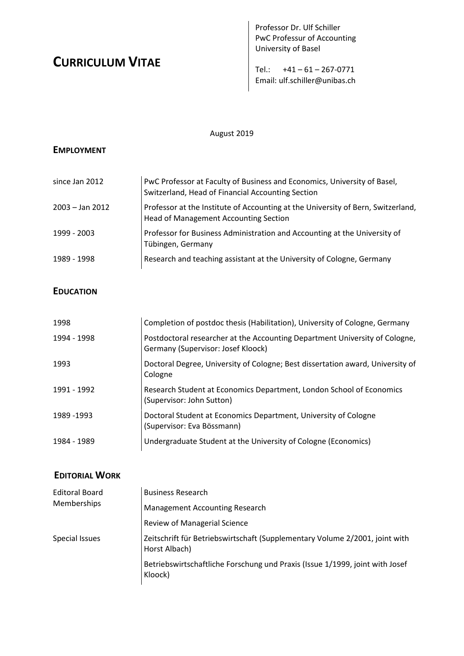# **CURRICULUM VITAE**

Professor Dr. Ulf Schiller PwC Professur of Accounting University of Basel

Tel.:  $+41 - 61 - 267 - 0771$ Email: ulf.schiller@unibas.ch

### August 2019

### **EMPLOYMENT**

| since Jan 2012    | PwC Professor at Faculty of Business and Economics, University of Basel,<br>Switzerland, Head of Financial Accounting Section    |
|-------------------|----------------------------------------------------------------------------------------------------------------------------------|
| $2003 -$ Jan 2012 | Professor at the Institute of Accounting at the University of Bern, Switzerland,<br><b>Head of Management Accounting Section</b> |
| 1999 - 2003       | Professor for Business Administration and Accounting at the University of<br>Tübingen, Germany                                   |
| 1989 - 1998       | Research and teaching assistant at the University of Cologne, Germany                                                            |

### **EDUCATION**

| 1998        | Completion of postdoc thesis (Habilitation), University of Cologne, Germany                                       |
|-------------|-------------------------------------------------------------------------------------------------------------------|
| 1994 - 1998 | Postdoctoral researcher at the Accounting Department University of Cologne,<br>Germany (Supervisor: Josef Kloock) |
| 1993        | Doctoral Degree, University of Cologne; Best dissertation award, University of<br>Cologne                         |
| 1991 - 1992 | Research Student at Economics Department, London School of Economics<br>(Supervisor: John Sutton)                 |
| 1989 - 1993 | Doctoral Student at Economics Department, University of Cologne<br>(Supervisor: Eva Bössmann)                     |
| 1984 - 1989 | Undergraduate Student at the University of Cologne (Economics)                                                    |

## **EDITORIAL WORK**

| <b>Editoral Board</b><br>Memberships | <b>Business Research</b>                                                                     |
|--------------------------------------|----------------------------------------------------------------------------------------------|
|                                      | <b>Management Accounting Research</b>                                                        |
|                                      | <b>Review of Managerial Science</b>                                                          |
| Special Issues                       | Zeitschrift für Betriebswirtschaft (Supplementary Volume 2/2001, joint with<br>Horst Albach) |
|                                      | Betriebswirtschaftliche Forschung und Praxis (Issue 1/1999, joint with Josef<br>Kloock)      |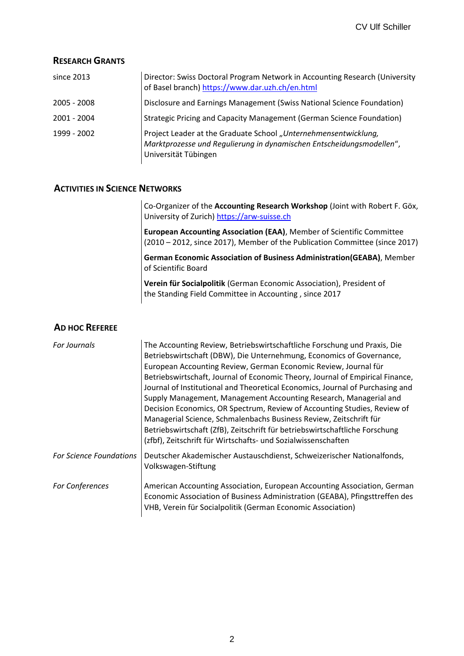#### **RESEARCH GRANTS**

| since $2013$  | Director: Swiss Doctoral Program Network in Accounting Research (University<br>of Basel branch) https://www.dar.uzh.ch/en.html                                  |
|---------------|-----------------------------------------------------------------------------------------------------------------------------------------------------------------|
| $2005 - 2008$ | Disclosure and Earnings Management (Swiss National Science Foundation)                                                                                          |
| 2001 - 2004   | Strategic Pricing and Capacity Management (German Science Foundation)                                                                                           |
| 1999 - 2002   | Project Leader at the Graduate School "Unternehmensentwicklung,<br>Marktprozesse und Regulierung in dynamischen Entscheidungsmodellen",<br>Universität Tübingen |

#### **ACTIVITIES IN SCIENCE NETWORKS**

Co-Organizer of the **[Accounting Research Workshop](http://www.arw-suisse.ch/)** (Joint with Robert F. Göx, University of Zurich) [https://arw-suisse.ch](https://arw-suisse.ch/)

**[European Accounting Association \(EAA\)](http://www.eaa-online.org/)**, Member of Scientific Committee (2010 – 2012, since 2017), Member of the Publication Committee (since 2017)

**[German Economic Association of Business Administration\(](http://www.geaba.de/)GEABA)**, Member of Scientific Board

**[Verein für Socialpolitik](http://www.socialpolitik.org/)** (German Economic Association), President of the Standing Field Committee in [Accounting ,](http://www.controlling.bwl.uni-muenchen.de/verein_social/index.html) since 2017

#### **AD HOC REFEREE**

| <b>For Journals</b>            | The Accounting Review, Betriebswirtschaftliche Forschung und Praxis, Die<br>Betriebswirtschaft (DBW), Die Unternehmung, Economics of Governance,<br>European Accounting Review, German Economic Review, Journal für<br>Betriebswirtschaft, Journal of Economic Theory, Journal of Empirical Finance,<br>Journal of Institutional and Theoretical Economics, Journal of Purchasing and<br>Supply Management, Management Accounting Research, Managerial and<br>Decision Economics, OR Spectrum, Review of Accounting Studies, Review of<br>Managerial Science, Schmalenbachs Business Review, Zeitschrift für<br>Betriebswirtschaft (ZfB), Zeitschrift für betriebswirtschaftliche Forschung<br>(zfbf), Zeitschrift für Wirtschafts- und Sozialwissenschaften |
|--------------------------------|--------------------------------------------------------------------------------------------------------------------------------------------------------------------------------------------------------------------------------------------------------------------------------------------------------------------------------------------------------------------------------------------------------------------------------------------------------------------------------------------------------------------------------------------------------------------------------------------------------------------------------------------------------------------------------------------------------------------------------------------------------------|
| <b>For Science Foundations</b> | Deutscher Akademischer Austauschdienst, Schweizerischer Nationalfonds,<br>Volkswagen-Stiftung                                                                                                                                                                                                                                                                                                                                                                                                                                                                                                                                                                                                                                                                |
| For Conferences                | American Accounting Association, European Accounting Association, German<br>Economic Association of Business Administration (GEABA), Pfingsttreffen des<br>VHB, Verein für Socialpolitik (German Economic Association)                                                                                                                                                                                                                                                                                                                                                                                                                                                                                                                                       |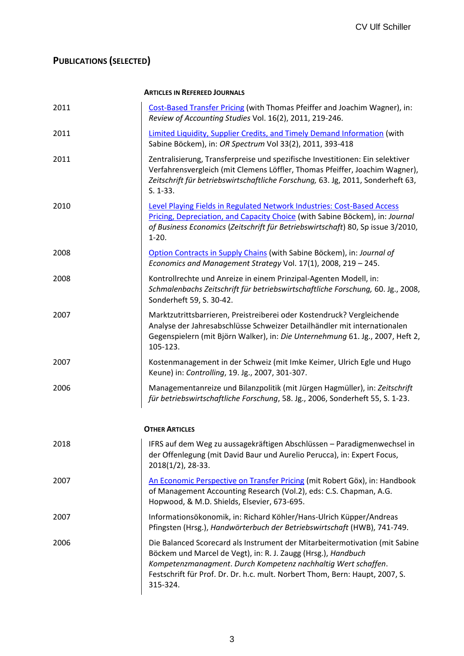# **PUBLICATIONS (SELECTED)**

#### **ARTICLES IN REFEREED JOURNALS**

| 2011 | Cost-Based Transfer Pricing (with Thomas Pfeiffer and Joachim Wagner), in:<br>Review of Accounting Studies Vol. 16(2), 2011, 219-246.                                                                                                                                                                     |
|------|-----------------------------------------------------------------------------------------------------------------------------------------------------------------------------------------------------------------------------------------------------------------------------------------------------------|
| 2011 | Limited Liquidity, Supplier Credits, and Timely Demand Information (with<br>Sabine Böckem), in: OR Spectrum Vol 33(2), 2011, 393-418                                                                                                                                                                      |
| 2011 | Zentralisierung, Transferpreise und spezifische Investitionen: Ein selektiver<br>Verfahrensvergleich (mit Clemens Löffler, Thomas Pfeiffer, Joachim Wagner),<br>Zeitschrift für betriebswirtschaftliche Forschung, 63. Jg, 2011, Sonderheft 63,<br>$S. 1-33.$                                             |
| 2010 | Level Playing Fields in Regulated Network Industries: Cost-Based Access<br>Pricing, Depreciation, and Capacity Choice (with Sabine Böckem), in: Journal<br>of Business Economics (Zeitschrift für Betriebswirtschaft) 80, Sp issue 3/2010,<br>$1-20.$                                                     |
| 2008 | Option Contracts in Supply Chains (with Sabine Böckem), in: Journal of<br>Economics and Management Strategy Vol. 17(1), 2008, 219 - 245.                                                                                                                                                                  |
| 2008 | Kontrollrechte und Anreize in einem Prinzipal-Agenten Modell, in:<br>Schmalenbachs Zeitschrift für betriebswirtschaftliche Forschung, 60. Jg., 2008,<br>Sonderheft 59, S. 30-42.                                                                                                                          |
| 2007 | Marktzutrittsbarrieren, Preistreiberei oder Kostendruck? Vergleichende<br>Analyse der Jahresabschlüsse Schweizer Detailhändler mit internationalen<br>Gegenspielern (mit Björn Walker), in: Die Unternehmung 61. Jg., 2007, Heft 2,<br>105-123.                                                           |
| 2007 | Kostenmanagement in der Schweiz (mit Imke Keimer, Ulrich Egle und Hugo<br>Keune) in: Controlling, 19. Jg., 2007, 301-307.                                                                                                                                                                                 |
| 2006 | Managementanreize und Bilanzpolitik (mit Jürgen Hagmüller), in: Zeitschrift<br>für betriebswirtschaftliche Forschung, 58. Jg., 2006, Sonderheft 55, S. 1-23.                                                                                                                                              |
|      | <b>OTHER ARTICLES</b>                                                                                                                                                                                                                                                                                     |
| 2018 | IFRS auf dem Weg zu aussagekräftigen Abschlüssen - Paradigmenwechsel in<br>der Offenlegung (mit David Baur und Aurelio Perucca), in: Expert Focus,<br>2018(1/2), 28-33.                                                                                                                                   |
| 2007 | An Economic Perspective on Transfer Pricing (mit Robert Göx), in: Handbook<br>of Management Accounting Research (Vol.2), eds: C.S. Chapman, A.G.<br>Hopwood, & M.D. Shields, Elsevier, 673-695.                                                                                                           |
| 2007 | Informationsökonomik, in: Richard Köhler/Hans-Ulrich Küpper/Andreas<br>Pfingsten (Hrsg.), Handwörterbuch der Betriebswirtschaft (HWB), 741-749.                                                                                                                                                           |
| 2006 | Die Balanced Scorecard als Instrument der Mitarbeitermotivation (mit Sabine<br>Böckem und Marcel de Vegt), in: R. J. Zaugg (Hrsg.), Handbuch<br>Kompetenzmanagment. Durch Kompetenz nachhaltig Wert schaffen.<br>Festschrift für Prof. Dr. Dr. h.c. mult. Norbert Thom, Bern: Haupt, 2007, S.<br>315-324. |